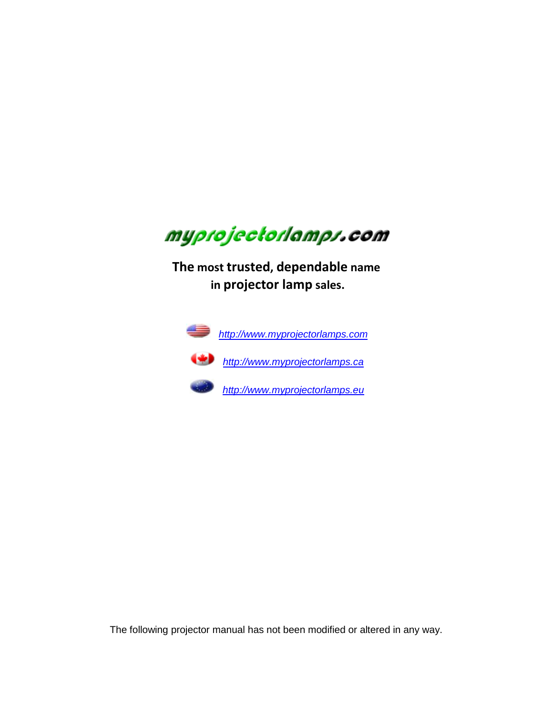

**The most trusted, dependable name in projector lamp sales.** 



 *http://www.myprojectorlamps.com*



 *http://www.myprojectorlamps.ca*

 *http://www.myprojectorlamps.eu*

The following projector manual has not been modified or altered in any way.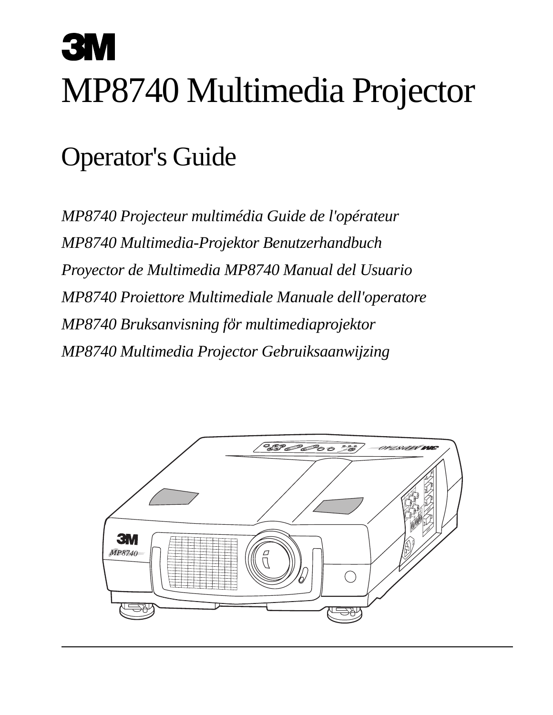# MP8740 Multimedia Projector

# Operator's Guide

*MP8740 Projecteur multimédia Guide de l'opérateur MP8740 Multimedia-Projektor Benutzerhandbuch Proyector de Multimedia MP8740 Manual del Usuario MP8740 Proiettore Multimediale Manuale dell'operatore MP8740 Bruksanvisning for multimediaprojektor MP8740 Multimedia Projector Gebruiksaanwijzing*

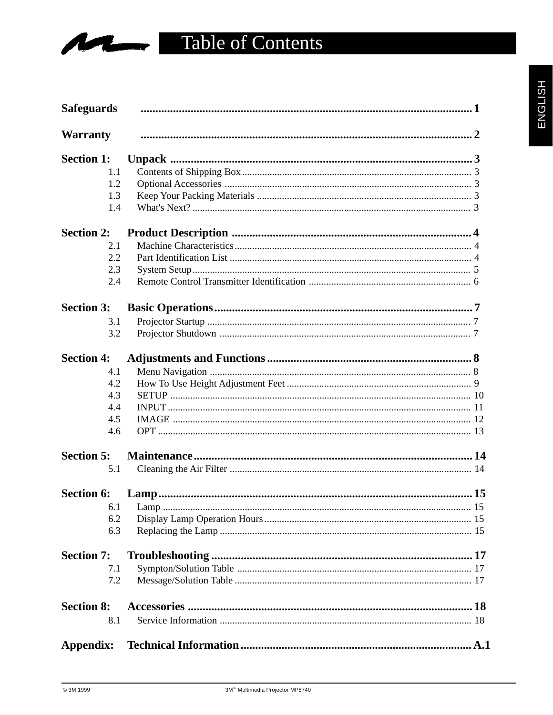## **Table of Contents**

| <b>Safeguards</b> |  |
|-------------------|--|
| <b>Warranty</b>   |  |
| <b>Section 1:</b> |  |
| 1.1               |  |
| 1.2               |  |
| 1.3               |  |
| 1.4               |  |
| <b>Section 2:</b> |  |
| 2.1               |  |
| 2.2               |  |
| 2.3               |  |
| 2.4               |  |
| <b>Section 3:</b> |  |
| 3.1               |  |
| 3.2               |  |
| <b>Section 4:</b> |  |
| 4.1               |  |
| 4.2               |  |
| 4.3               |  |
| 4.4               |  |
| 4.5               |  |
| 4.6               |  |
| <b>Section 5:</b> |  |
| 5.1               |  |
| <b>Section 6:</b> |  |
| 6.1               |  |
| 6.2               |  |
| 6.3               |  |
| <b>Section 7:</b> |  |
| 7.1               |  |
| 7.2               |  |
| <b>Section 8:</b> |  |
| 8.1               |  |
| Appendix:         |  |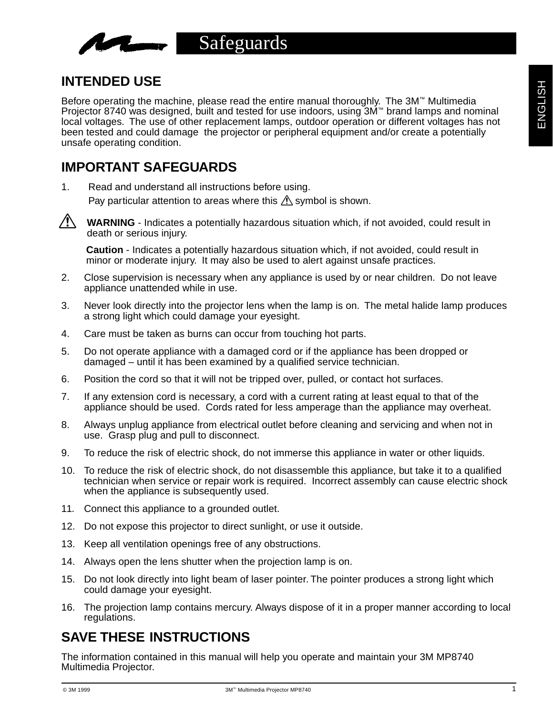

## **INTENDED USE**

Before operating the machine, please read the entire manual thoroughly. The 3M™ Multimedia Projector 8740 was designed, built and tested for use indoors, using 3M™ brand lamps and nominal local voltages. The use of other replacement lamps, outdoor operation or different voltages has not been tested and could damage the projector or peripheral equipment and/or create a potentially unsafe operating condition.

## **IMPORTANT SAFEGUARDS**

1. Read and understand all instructions before using. Pay particular attention to areas where this  $\Lambda$  symbol is shown.



**WARNING** - Indicates a potentially hazardous situation which, if not avoided, could result in death or serious injury.

**Caution** - Indicates a potentially hazardous situation which, if not avoided, could result in minor or moderate injury. It may also be used to alert against unsafe practices.

- 2. Close supervision is necessary when any appliance is used by or near children. Do not leave appliance unattended while in use.
- 3. Never look directly into the projector lens when the lamp is on. The metal halide lamp produces a strong light which could damage your eyesight.
- 4. Care must be taken as burns can occur from touching hot parts.
- 5. Do not operate appliance with a damaged cord or if the appliance has been dropped or damaged – until it has been examined by a qualified service technician.
- 6. Position the cord so that it will not be tripped over, pulled, or contact hot surfaces.
- 7. If any extension cord is necessary, a cord with a current rating at least equal to that of the appliance should be used. Cords rated for less amperage than the appliance may overheat.
- 8. Always unplug appliance from electrical outlet before cleaning and servicing and when not in use. Grasp plug and pull to disconnect.
- 9. To reduce the risk of electric shock, do not immerse this appliance in water or other liquids.
- 10. To reduce the risk of electric shock, do not disassemble this appliance, but take it to a qualified technician when service or repair work is required. Incorrect assembly can cause electric shock when the appliance is subsequently used.
- 11. Connect this appliance to a grounded outlet.
- 12. Do not expose this projector to direct sunlight, or use it outside.
- 13. Keep all ventilation openings free of any obstructions.
- 14. Always open the lens shutter when the projection lamp is on.
- 15. Do not look directly into light beam of laser pointer. The pointer produces a strong light which could damage your eyesight.
- 16. The projection lamp contains mercury. Always dispose of it in a proper manner according to local regulations.

## **SAVE THESE INSTRUCTIONS**

The information contained in this manual will help you operate and maintain your 3M MP8740 Multimedia Projector.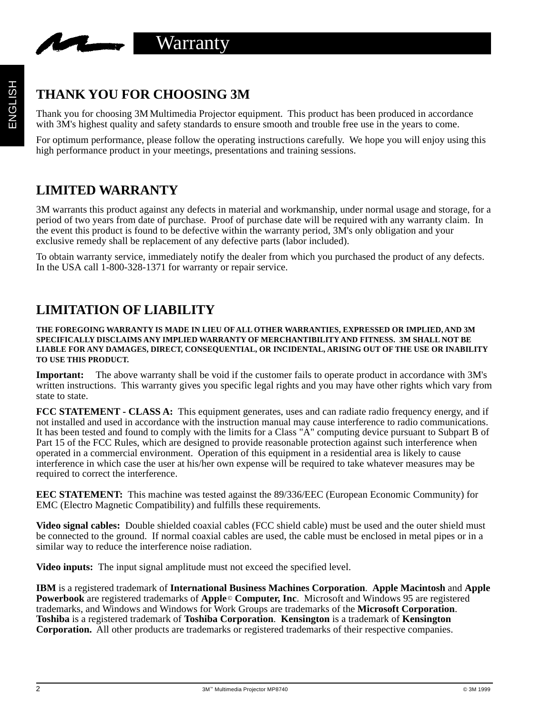

## **THANK YOU FOR CHOOSING 3M**

Thank you for choosing 3M Multimedia Projector equipment. This product has been produced in accordance with 3M's highest quality and safety standards to ensure smooth and trouble free use in the years to come.

For optimum performance, please follow the operating instructions carefully. We hope you will enjoy using this high performance product in your meetings, presentations and training sessions.

## **LIMITED WARRANTY**

3M warrants this product against any defects in material and workmanship, under normal usage and storage, for a period of two years from date of purchase. Proof of purchase date will be required with any warranty claim. In the event this product is found to be defective within the warranty period, 3M's only obligation and your exclusive remedy shall be replacement of any defective parts (labor included).

To obtain warranty service, immediately notify the dealer from which you purchased the product of any defects. In the USA call 1-800-328-1371 for warranty or repair service.

## **LIMITATION OF LIABILITY**

**THE FOREGOING WARRANTY IS MADE IN LIEU OF ALL OTHER WARRANTIES, EXPRESSED OR IMPLIED, AND 3M SPECIFICALLY DISCLAIMS ANY IMPLIED WARRANTY OF MERCHANTIBILITY AND FITNESS. 3M SHALL NOT BE LIABLE FOR ANY DAMAGES, DIRECT, CONSEQUENTIAL, OR INCIDENTAL, ARISING OUT OF THE USE OR INABILITY TO USE THIS PRODUCT.**

**Important:** The above warranty shall be void if the customer fails to operate product in accordance with 3M's written instructions. This warranty gives you specific legal rights and you may have other rights which vary from state to state.

**FCC STATEMENT - CLASS A:** This equipment generates, uses and can radiate radio frequency energy, and if not installed and used in accordance with the instruction manual may cause interference to radio communications. It has been tested and found to comply with the limits for a Class "A" computing device pursuant to Subpart B of Part 15 of the FCC Rules, which are designed to provide reasonable protection against such interference when operated in a commercial environment. Operation of this equipment in a residential area is likely to cause interference in which case the user at his/her own expense will be required to take whatever measures may be required to correct the interference.

**EEC STATEMENT:** This machine was tested against the 89/336/EEC (European Economic Community) for EMC (Electro Magnetic Compatibility) and fulfills these requirements.

**Video signal cables:** Double shielded coaxial cables (FCC shield cable) must be used and the outer shield must be connected to the ground. If normal coaxial cables are used, the cable must be enclosed in metal pipes or in a similar way to reduce the interference noise radiation.

**Video inputs:** The input signal amplitude must not exceed the specified level.

**IBM** is a registered trademark of **International Business Machines Corporation**. **Apple Macintosh** and **Apple Powerbook** are registered trademarks of **Apple**© **Computer, Inc**. Microsoft and Windows 95 are registered trademarks, and Windows and Windows for Work Groups are trademarks of the **Microsoft Corporation**. **Toshiba** is a registered trademark of **Toshiba Corporation**. **Kensington** is a trademark of **Kensington Corporation.** All other products are trademarks or registered trademarks of their respective companies.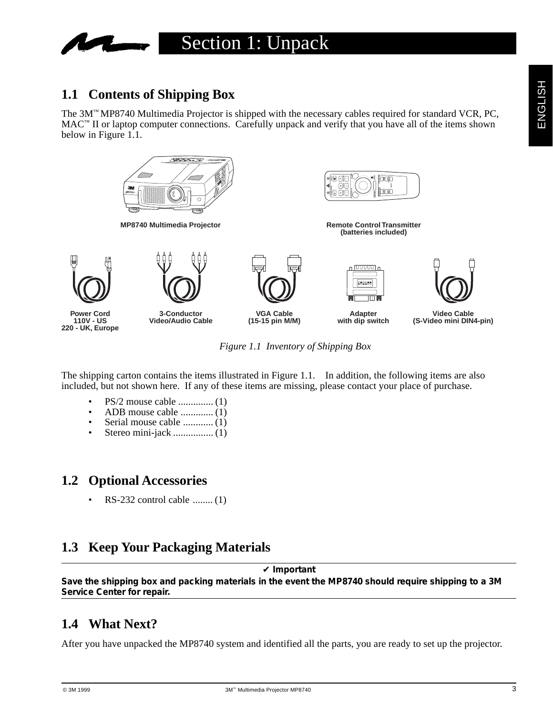

## **1.1 Contents of Shipping Box**

The 3M™ MP8740 Multimedia Projector is shipped with the necessary cables required for standard VCR, PC,  $MAC^M$  II or laptop computer connections. Carefully unpack and verify that you have all of the items shown below in Figure 1.1.



*Figure 1.1 Inventory of Shipping Box*

The shipping carton contains the items illustrated in Figure 1.1. In addition, the following items are also included, but not shown here. If any of these items are missing, please contact your place of purchase.

- PS/2 mouse cable .............. (1)
- ADB mouse cable ............. (1)
- Serial mouse cable ............ (1)
- Stereo mini-jack ................ (1)

## **1.2 Optional Accessories**

• RS-232 control cable ........ (1)

## **1.3 Keep Your Packaging Materials**

#### ✔ **Important**

**Save the shipping box and packing materials in the event the MP8740 should require shipping to a 3M Service Center for repair.**

## **1.4 What Next?**

After you have unpacked the MP8740 system and identified all the parts, you are ready to set up the projector.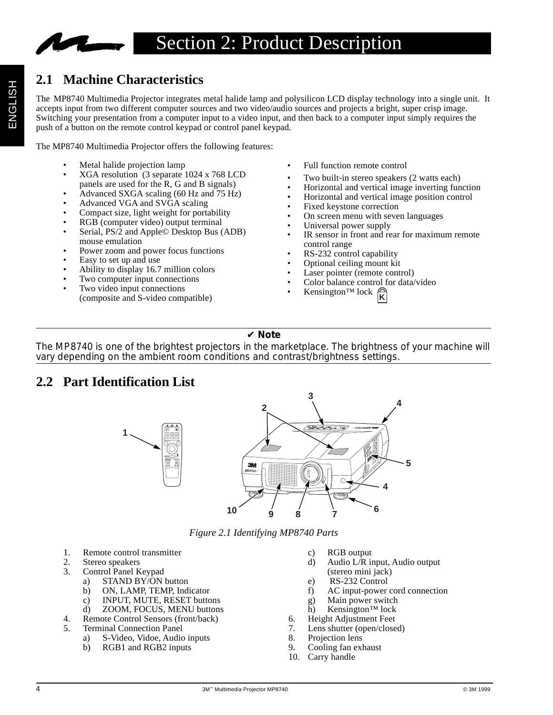

## **2.1 Machine Characteristics**

The MP8740 Multimedia Projector integrates metal halide lamp and polysilicon LCD display technology into a single unit. It accepts input from two different computer sources and two video/audio sources and projects a bright, super crisp image. Switching your presentation from a computer input to a video input, and then back to a computer input simply requires the push of a button on the remote control keypad or control panel keypad.

The MP8740 Multimedia Projector offers the following features:

- Metal halide projection lamp
- XGA resolution (3 separate 1024 x 768 LCD panels are used for the R, G and B signals)
- Advanced SXGA scaling (60 Hz and 75 Hz)
- Advanced VGA and SVGA scaling
- Compact size, light weight for portability
- RGB (computer video) output terminal
- Serial, PS/2 and Apple© Desktop Bus (ADB) mouse emulation
- Power zoom and power focus functions
- Easy to set up and use
- Ability to display 16.7 million colors
- Two computer input connections
- Two video input connections (composite and S-video compatible)
- Full function remote control
- Two built-in stereo speakers (2 watts each)
- Horizontal and vertical image inverting function
- Horizontal and vertical image position control
- Fixed keystone correction
- On screen menu with seven languages
- Universal power supply
- IR sensor in front and rear for maximum remote control range
- RS-232 control capability
- Optional ceiling mount kit
- Laser pointer (remote control)
- Color balance control for data/video
- Kensington<sup>TM</sup> lock  $\mathcal{R}$

#### ✔ **Note**

The MP8740 is one of the brightest projectors in the marketplace. The brightness of your machine will vary depending on the ambient room conditions and contrast/brightness settings.

## **2.2 Part Identification List**

**1**



*Figure 2.1 Identifying MP8740 Parts*

- 1. Remote control transmitter
- 
- 2. Stereo speakers<br>3. Control Panel K Control Panel Keypad
	- a) STAND BY/ON button
	- b) ON, LAMP, TEMP, Indicator
	- c) INPUT, MUTE, RESET buttons
	- d) ZOOM, FOCUS, MENU buttons
- 4. Remote Control Sensors (front/back)<br>5. Terminal Connection Panel
- 5. Terminal Connection Panel
	- a) S-Video, Vidoe, Audio inputs
	- b) RGB1 and RGB2 inputs
- c) RGB output
- d) Audio L/R input, Audio output (stereo mini jack)
- e) RS-232 Control
- f) AC input-power cord connection
- g) Main power switch
- h) Kensington™ lock
- 6. Height Adjustment Feet
- 7. Lens shutter (open/closed)
- 8. Projection lens
- 9. Cooling fan exhaust
- 10. Carry handle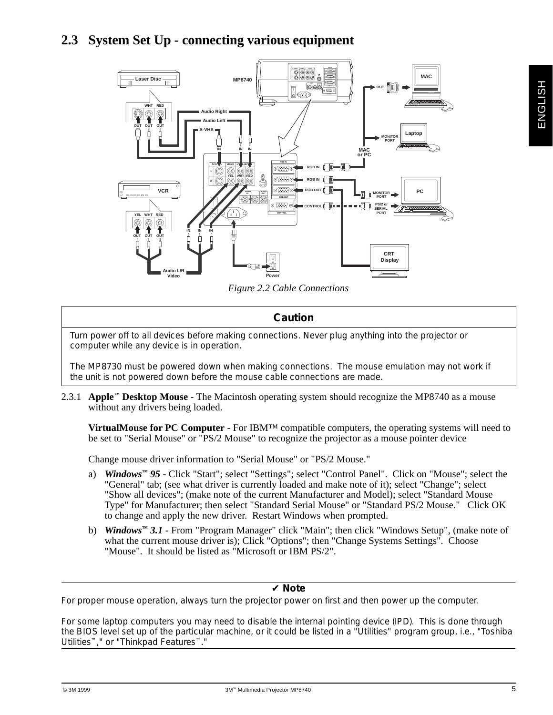## **2.3 System Set Up - connecting various equipment**



*Figure 2.2 Cable Connections*

#### **Caution**

Turn power off to all devices before making connections. Never plug anything into the projector or computer while any device is in operation.

The MP8730 must be powered down when making connections. The mouse emulation may not work if the unit is not powered down before the mouse cable connections are made.

2.3.1 **Apple™ Desktop Mouse** - The Macintosh operating system should recognize the MP8740 as a mouse without any drivers being loaded.

**VirtualMouse for PC Computer** - For IBM™ compatible computers, the operating systems will need to be set to "Serial Mouse" or "PS/2 Mouse" to recognize the projector as a mouse pointer device

Change mouse driver information to "Serial Mouse" or "PS/2 Mouse."

- a) *Windows***™** *95* Click "Start"; select "Settings"; select "Control Panel". Click on "Mouse"; select the "General" tab; (see what driver is currently loaded and make note of it); select "Change"; select "Show all devices"; (make note of the current Manufacturer and Model); select "Standard Mouse Type" for Manufacturer; then select "Standard Serial Mouse" or "Standard PS/2 Mouse." Click OK to change and apply the new driver. Restart Windows when prompted.
- b) *Windows***™** *3.1* From "Program Manager" click "Main"; then click "Windows Setup", (make note of what the current mouse driver is); Click "Options"; then "Change Systems Settings". Choose "Mouse". It should be listed as "Microsoft or IBM PS/2".

#### ✔ **Note**

For proper mouse operation, always turn the projector power on first and then power up the computer.

For some laptop computers you may need to disable the internal pointing device (IPD). This is done through the BIOS level set up of the particular machine, or it could be listed in a "Utilities" program group, i.e., "Toshiba Utilities™," or "Thinkpad Features™."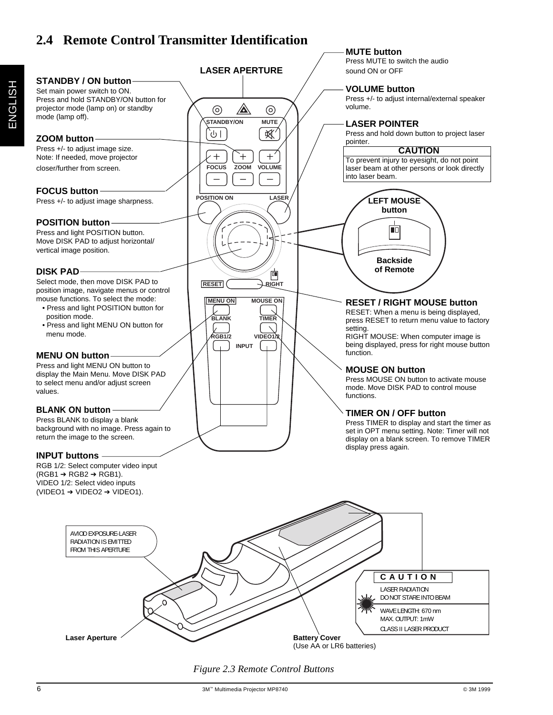## **2.4 Remote Control Transmitter Identification**



*Figure 2.3 Remote Control Buttons*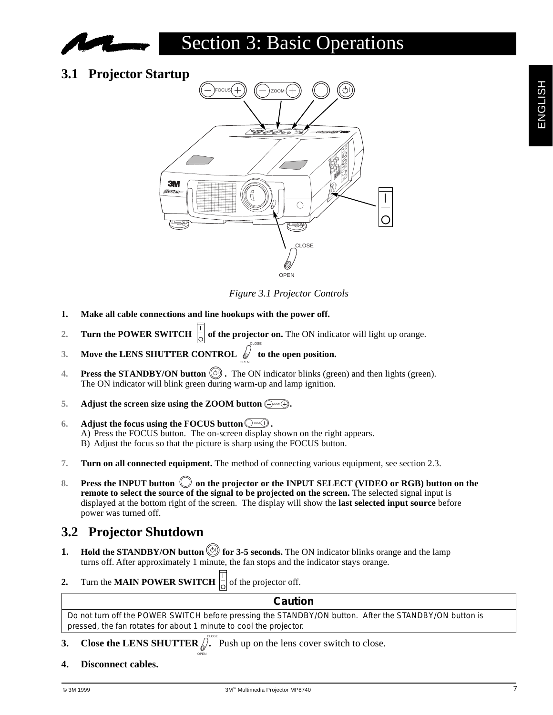

## Section 3: Basic Operations

**3.1 Projector Startup**



*Figure 3.1 Projector Controls*

- **1. Make all cable connections and line hookups with the power off.**
- **2. Turn the POWER SWITCH**  $\begin{bmatrix} 1 \\ 0 \end{bmatrix}$  of the projector on. The ON indicator will light up orange.

OPEN

- **3.** Move the LENS SHUTTER CONTROL  $\int$  to the open position.
- **4. Press the STANDBY/ON button**  $\circledcirc$ **.** The ON indicator blinks (green) and then lights (green). The ON indicator will blink green during warm-up and lamp ignition.

CLOSE

- **5.** Adjust the screen size using the ZOOM button  $\bigoplus^{\infty}$ .
- **6.** Adjust the focus using the FOCUS button  $\bigoplus^{\text{coos}(+)}$ . A) Press the FOCUS button. The on-screen display shown on the right appears. B) Adjust the focus so that the picture is sharp using the FOCUS button.
- **7. Turn on all connected equipment.** The method of connecting various equipment, see section 2.3.
- 8. **Press the INPUT button**  $\bigcirc$  **on the projector or the INPUT SELECT (VIDEO or RGB) button on the remote to select the source of the signal to be projected on the screen.** The selected signal input is displayed at the bottom right of the screen. The display will show the **last selected input source** before power was turned off.

## **3.2 Projector Shutdown**

- **1.** Hold the STANDBY/ON button  $\circledcirc$  for 3-5 seconds. The ON indicator blinks orange and the lamp turns off. After approximately 1 minute, the fan stops and the indicator stays orange.
- **2.** Turn the **MAIN POWER SWITCH**  $\begin{bmatrix} 1 \\ 0 \end{bmatrix}$  of the projector off.

#### **Caution**

Do not turn off the POWER SWITCH before pressing the STANDBY/ON button. After the STANDBY/ON button is pressed, the fan rotates for about 1 minute to cool the projector.

**3.** Close the LENS SHUTTER  $\int_{0}^{\infty}$  Push up on the lens cover switch to close.

OPEN

**4. Disconnect cables.**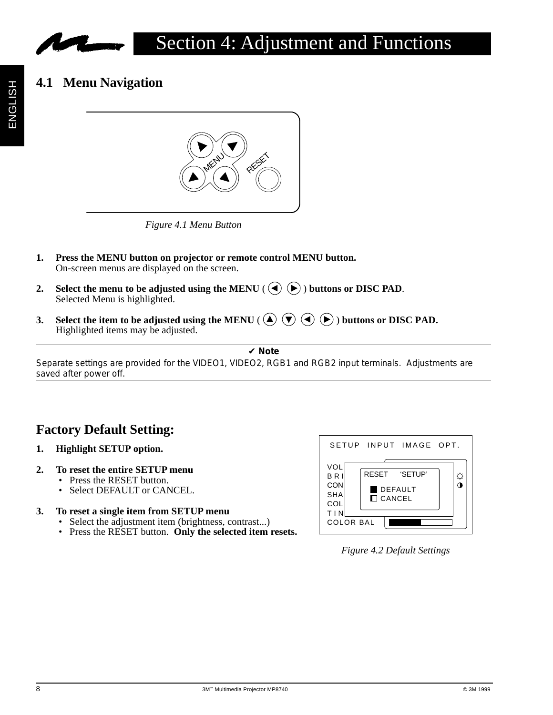

## **4.1 Menu Navigation**



*Figure 4.1 Menu Button*

- **1. Press the MENU button on projector or remote control MENU button.** On-screen menus are displayed on the screen.
- **2.** Select the menu to be adjusted using the MENU ( $\left(\bigodot \bigodot$ ) buttons or DISC PAD. Selected Menu is highlighted.
- **3.** Select the item to be adjusted using the MENU ( $\overline{A}$ )  $\overline{A}$ ) buttons or DISC PAD. Highlighted items may be adjusted.

✔ **Note**

Separate settings are provided for the VIDEO1, VIDEO2, RGB1 and RGB2 input terminals. Adjustments are saved after power off.

## **Factory Default Setting:**

- **1. Highlight SETUP option.**
- **2. To reset the entire SETUP menu**
	- Press the RESET button.
	- Select DEFAULT or CANCEL.

#### **3. To reset a single item from SETUP menu**

- Select the adjustment item (brightness, contrast...)
- Press the RESET button. **Only the selected item resets.**



#### *Figure 4.2 Default Settings*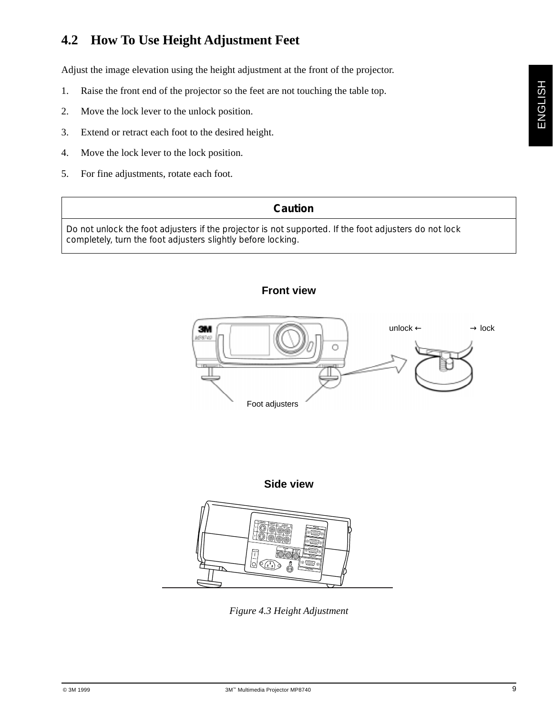## **4.2 How To Use Height Adjustment Feet**

Adjust the image elevation using the height adjustment at the front of the projector.

- 1. Raise the front end of the projector so the feet are not touching the table top.
- 2. Move the lock lever to the unlock position.
- 3. Extend or retract each foot to the desired height.
- 4. Move the lock lever to the lock position.
- 5. For fine adjustments, rotate each foot.

#### **Caution**

Do not unlock the foot adjusters if the projector is not supported. If the foot adjusters do not lock completely, turn the foot adjusters slightly before locking.

#### **Front view**





*Figure 4.3 Height Adjustment*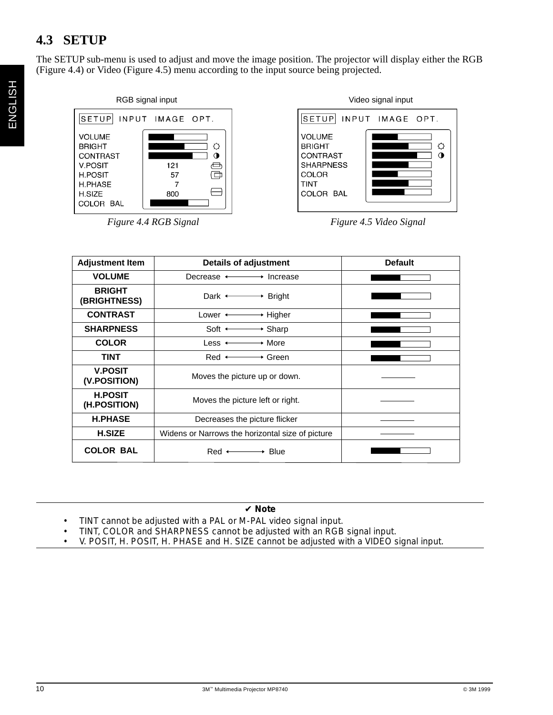## **4.3 SETUP**

The SETUP sub-menu is used to adjust and move the image position. The projector will display either the RGB (Figure 4.4) or Video (Figure 4.5) menu according to the input source being projected.



*Figure 4.4 RGB Signal Figure 4.5 Video Signal*

| <b>Adjustment Item</b>         | <b>Details of adjustment</b>                     | <b>Default</b> |
|--------------------------------|--------------------------------------------------|----------------|
| <b>VOLUME</b>                  | Decrease $\longleftrightarrow$ Increase          |                |
| <b>BRIGHT</b><br>(BRIGHTNESS)  | Dark $\longleftrightarrow$ Bright                |                |
| <b>CONTRAST</b>                | Lower $\longleftrightarrow$ Higher               |                |
| <b>SHARPNESS</b>               | Soft $\longleftrightarrow$ Sharp                 |                |
| <b>COLOR</b>                   | Less $\longleftrightarrow$ More                  |                |
| <b>TINT</b>                    | $Red \longleftarrow \longrightarrow Green$       |                |
| <b>V.POSIT</b><br>(V.POSITION) | Moves the picture up or down.                    |                |
| <b>H.POSIT</b><br>(H.POSITION) | Moves the picture left or right.                 |                |
| <b>H.PHASE</b>                 | Decreases the picture flicker                    |                |
| <b>H.SIZE</b>                  | Widens or Narrows the horizontal size of picture |                |
| <b>COLOR BAL</b>               | $Red \longleftarrow$ Blue                        |                |

#### ✔ **Note**

- TINT cannot be adjusted with a PAL or M-PAL video signal input.
- TINT, COLOR and SHARPNESS cannot be adjusted with an RGB signal input.
- V. POSIT, H. POSIT, H. PHASE and H. SIZE cannot be adjusted with a VIDEO signal input.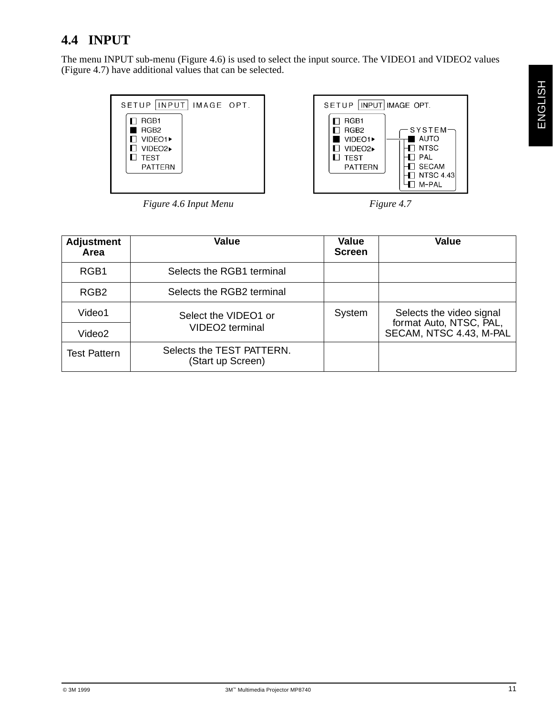## **4.4 INPUT**

The menu INPUT sub-menu (Figure 4.6) is used to select the input source. The VIDEO1 and VIDEO2 values (Figure 4.7) have additional values that can be selected.

|                                                            | SETUP   INPUT   IMAGE OPT. |  |  |  |  |
|------------------------------------------------------------|----------------------------|--|--|--|--|
| RGB1<br>RGB <sub>2</sub>                                   |                            |  |  |  |  |
| $\Box$ VIDEO1 $\blacktriangleright$                        |                            |  |  |  |  |
| $\blacksquare$ VIDEO2 $\blacktriangleright$<br><b>TEST</b> |                            |  |  |  |  |
| <b>PATTERN</b>                                             |                            |  |  |  |  |



*Figure 4.6 Input Menu* Figure 4.7

| <b>Adjustment</b><br>Area | <b>Value</b>                                   | <b>Value</b><br><b>Screen</b> | <b>Value</b>                                        |
|---------------------------|------------------------------------------------|-------------------------------|-----------------------------------------------------|
| RGB1                      | Selects the RGB1 terminal                      |                               |                                                     |
| RGB <sub>2</sub>          | Selects the RGB2 terminal                      |                               |                                                     |
| Video1                    | Select the VIDEO1 or                           | System                        | Selects the video signal<br>format Auto, NTSC, PAL, |
| Video <sub>2</sub>        | VIDEO <sub>2</sub> terminal                    |                               | SECAM, NTSC 4.43, M-PAL                             |
| <b>Test Pattern</b>       | Selects the TEST PATTERN.<br>(Start up Screen) |                               |                                                     |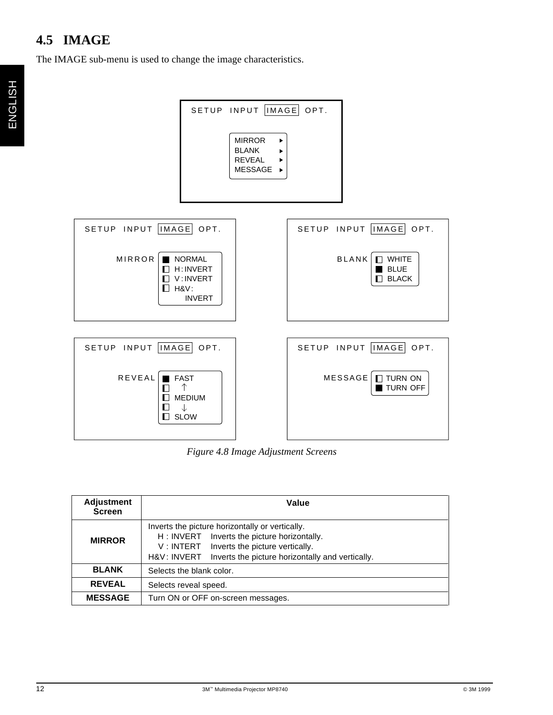## **4.5 IMAGE**

The IMAGE sub-menu is used to change the image characteristics.



*Figure 4.8 Image Adjustment Screens*

| <b>Adjustment</b><br><b>Screen</b> | Value                                                                                                                                                                                                                 |  |  |
|------------------------------------|-----------------------------------------------------------------------------------------------------------------------------------------------------------------------------------------------------------------------|--|--|
| <b>MIRROR</b>                      | Inverts the picture horizontally or vertically.<br>Inverts the picture horizontally.<br>H : INVERT<br>V: INTERT<br>Inverts the picture vertically.<br>H&V: INVERT<br>Inverts the picture horizontally and vertically. |  |  |
| <b>BLANK</b>                       | Selects the blank color.                                                                                                                                                                                              |  |  |
| <b>REVEAL</b>                      | Selects reveal speed.                                                                                                                                                                                                 |  |  |
| <b>MESSAGE</b>                     | Turn ON or OFF on-screen messages.                                                                                                                                                                                    |  |  |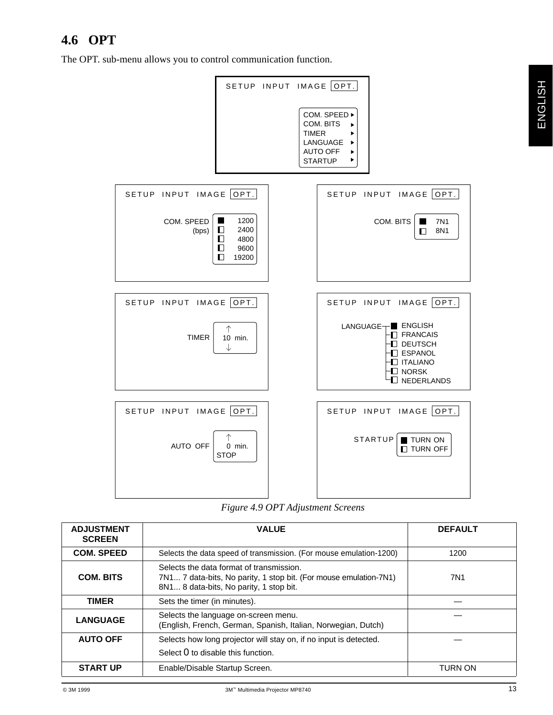## **4.6 OPT**

The OPT. sub-menu allows you to control communication function.



*Figure 4.9 OPT Adjustment Screens*

| <b>ADJUSTMENT</b><br><b>SCREEN</b> | <b>VALUE</b>                                                                                                                                             | <b>DEFAULT</b> |  |  |  |
|------------------------------------|----------------------------------------------------------------------------------------------------------------------------------------------------------|----------------|--|--|--|
| <b>COM. SPEED</b>                  | Selects the data speed of transmission. (For mouse emulation-1200)                                                                                       | 1200           |  |  |  |
| <b>COM. BITS</b>                   | Selects the data format of transmission.<br>7N1 7 data-bits, No parity, 1 stop bit. (For mouse emulation-7N1)<br>8N1 8 data-bits, No parity, 1 stop bit. | 7N1            |  |  |  |
| TIMER                              | Sets the timer (in minutes).                                                                                                                             |                |  |  |  |
| <b>LANGUAGE</b>                    | Selects the language on-screen menu.<br>(English, French, German, Spanish, Italian, Norwegian, Dutch)                                                    |                |  |  |  |
| <b>AUTO OFF</b>                    | Selects how long projector will stay on, if no input is detected.<br>Select 0 to disable this function.                                                  |                |  |  |  |
| <b>START UP</b>                    | Enable/Disable Startup Screen.<br><b>TURN ON</b>                                                                                                         |                |  |  |  |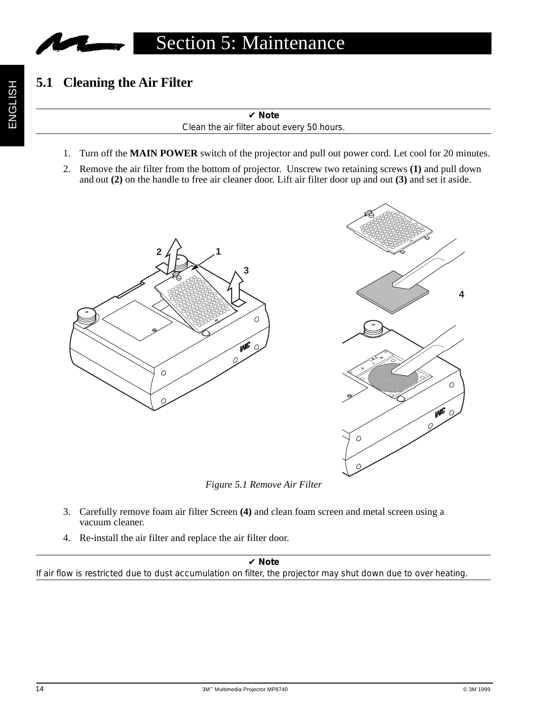

## **5.1 Cleaning the Air Filter**

✔ **Note**

Clean the air filter about every 50 hours.

- 1. Turn off the **MAIN POWER** switch of the projector and pull out power cord. Let cool for 20 minutes.
- 2. Remove the air filter from the bottom of projector. Unscrew two retaining screws **(1)** and pull down and out **(2)** on the handle to free air cleaner door. Lift air filter door up and out **(3)** and set it aside.



*Figure 5.1 Remove Air Filter*

- 3. Carefully remove foam air filter Screen **(4)** and clean foam screen and metal screen using a vacuum cleaner.
- 4. Re-install the air filter and replace the air filter door.

✔ **Note**

If air flow is restricted due to dust accumulation on filter, the projector may shut down due to over heating.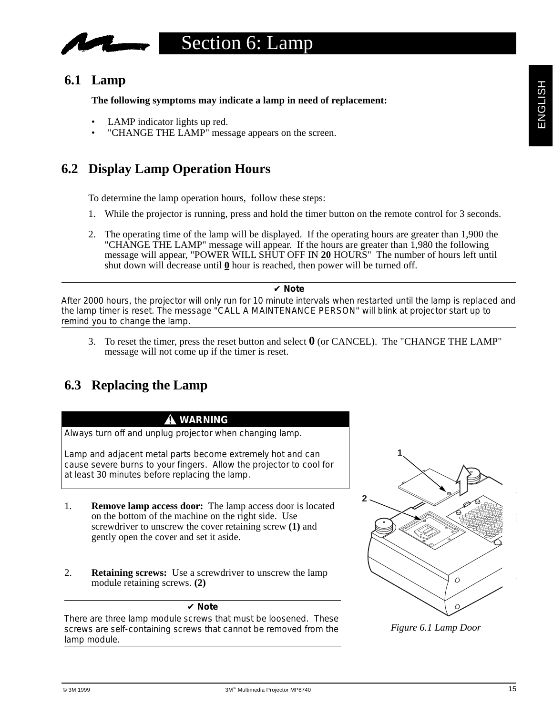## Section 6: Lamp

## **6.1 Lamp**

**The following symptoms may indicate a lamp in need of replacement:**

- LAMP indicator lights up red.
- "CHANGE THE LAMP" message appears on the screen.

## **6.2 Display Lamp Operation Hours**

To determine the lamp operation hours, follow these steps:

- 1. While the projector is running, press and hold the timer button on the remote control for 3 seconds.
- 2. The operating time of the lamp will be displayed. If the operating hours are greater than 1,900 the "CHANGE THE LAMP" message will appear. If the hours are greater than 1,980 the following message will appear, "POWER WILL SHUT OFF IN 20 HOURS" The number of hours left until shut down will decrease until **0** hour is reached, then power will be turned off.

#### ✔ **Note**

After 2000 hours, the projector will only run for 10 minute intervals when restarted until the lamp is replaced and the lamp timer is reset. The message "CALL A MAINTENANCE PERSON" will blink at projector start up to remind you to change the lamp.

3. To reset the timer, press the reset button and select **0** (or CANCEL). The "CHANGE THE LAMP" message will not come up if the timer is reset.

## **6.3 Replacing the Lamp**

#### **WARNING**

Always turn off and unplug projector when changing lamp.

Lamp and adjacent metal parts become extremely hot and can cause severe burns to your fingers. Allow the projector to cool for at least 30 minutes before replacing the lamp.

- 1. **Remove lamp access door:** The lamp access door is located on the bottom of the machine on the right side. Use screwdriver to unscrew the cover retaining screw **(1)** and gently open the cover and set it aside.
- 2. **Retaining screws:** Use a screwdriver to unscrew the lamp module retaining screws. **(2)**

#### ✔ **Note**

There are three lamp module screws that must be loosened. These screws are self-containing screws that cannot be removed from the lamp module.



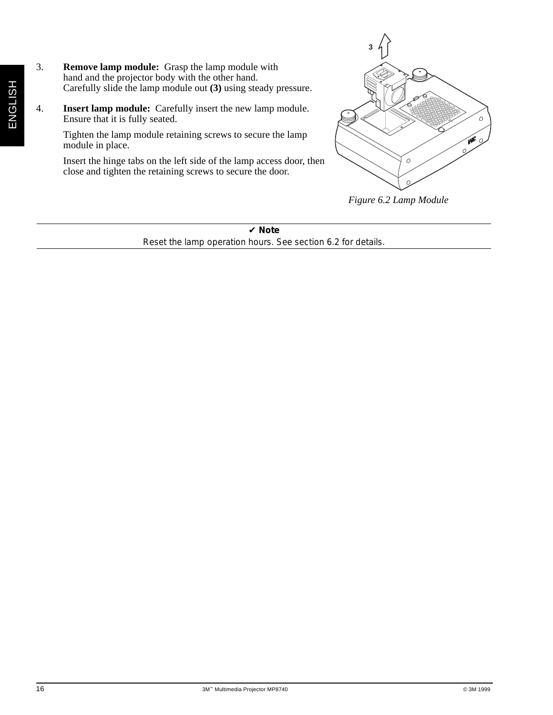- 3. **Remove lamp module:** Grasp the lamp module with hand and the projector body with the other hand. Carefully slide the lamp module out **(3)** using steady pressure.
- 4. **Insert lamp module:** Carefully insert the new lamp module. Ensure that it is fully seated.

Tighten the lamp module retaining screws to secure the lamp module in place.

Insert the hinge tabs on the left side of the lamp access door, then close and tighten the retaining screws to secure the door.



*Figure 6.2 Lamp Module*

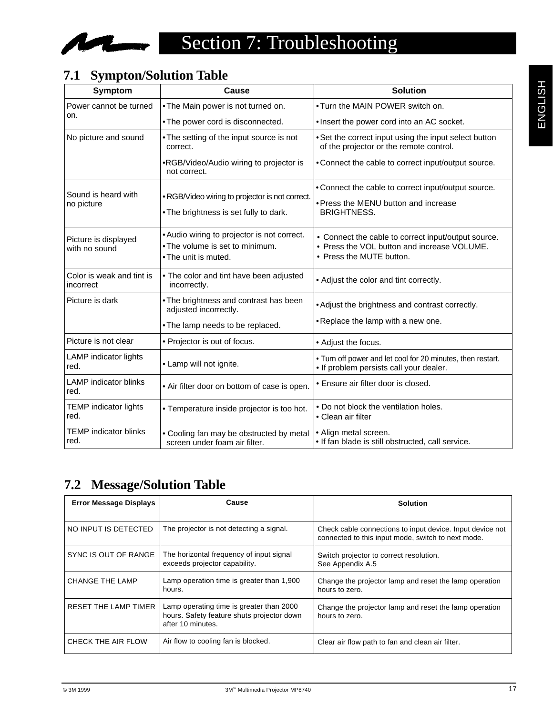

## **7.1 Sympton/Solution Table**

| Symptom                                | Cause                                                                                                  | <b>Solution</b>                                                                                                                |
|----------------------------------------|--------------------------------------------------------------------------------------------------------|--------------------------------------------------------------------------------------------------------------------------------|
| Power cannot be turned                 | . The Main power is not turned on.                                                                     | . Turn the MAIN POWER switch on.                                                                                               |
| on.                                    | • The power cord is disconnected.                                                                      | . Insert the power cord into an AC socket.                                                                                     |
| No picture and sound                   | . The setting of the input source is not<br>correct.                                                   | • Set the correct input using the input select button<br>of the projector or the remote control.                               |
|                                        | •RGB/Video/Audio wiring to projector is<br>not correct.                                                | • Connect the cable to correct input/output source.                                                                            |
| Sound is heard with                    |                                                                                                        | • Connect the cable to correct input/output source.                                                                            |
| no picture                             | • RGB/Video wiring to projector is not correct.                                                        | • Press the MENU button and increase                                                                                           |
|                                        | . The brightness is set fully to dark.                                                                 | <b>BRIGHTNESS.</b>                                                                                                             |
| Picture is displayed<br>with no sound  | • Audio wiring to projector is not correct.<br>• The volume is set to minimum.<br>• The unit is muted. | • Connect the cable to correct input/output source.<br>• Press the VOL button and increase VOLUME.<br>• Press the MUTE button. |
| Color is weak and tint is<br>incorrect | • The color and tint have been adjusted<br>incorrectly.                                                | • Adjust the color and tint correctly.                                                                                         |
| Picture is dark                        | . The brightness and contrast has been<br>adjusted incorrectly.                                        | • Adjust the brightness and contrast correctly.                                                                                |
|                                        | . The lamp needs to be replaced.                                                                       | . Replace the lamp with a new one.                                                                                             |
| Picture is not clear                   | • Projector is out of focus.                                                                           | • Adjust the focus.                                                                                                            |
| <b>LAMP</b> indicator lights<br>red.   | • Lamp will not ignite.                                                                                | . Turn off power and let cool for 20 minutes, then restart.<br>. If problem persists call your dealer.                         |
| <b>LAMP</b> indicator blinks<br>red.   | • Air filter door on bottom of case is open.                                                           | • Ensure air filter door is closed.                                                                                            |
| <b>TEMP</b> indicator lights<br>red.   | • Temperature inside projector is too hot.                                                             | • Do not block the ventilation holes.<br>• Clean air filter                                                                    |
| <b>TEMP</b> indicator blinks<br>red.   | • Cooling fan may be obstructed by metal<br>screen under foam air filter.                              | • Align metal screen.<br>. If fan blade is still obstructed, call service.                                                     |

## **7.2 Message/Solution Table**

| <b>Error Message Displays</b> | Cause                                                                                                       | <b>Solution</b>                                                                                                 |
|-------------------------------|-------------------------------------------------------------------------------------------------------------|-----------------------------------------------------------------------------------------------------------------|
| NO INPUT IS DETECTED          | The projector is not detecting a signal.                                                                    | Check cable connections to input device. Input device not<br>connected to this input mode, switch to next mode. |
| SYNC IS OUT OF RANGE          | The horizontal frequency of input signal<br>exceeds projector capability.                                   | Switch projector to correct resolution.<br>See Appendix A.5                                                     |
| <b>CHANGE THE LAMP</b>        | Lamp operation time is greater than 1,900<br>hours.                                                         | Change the projector lamp and reset the lamp operation<br>hours to zero.                                        |
| RESET THE LAMP TIMER          | Lamp operating time is greater than 2000<br>hours. Safety feature shuts projector down<br>after 10 minutes. | Change the projector lamp and reset the lamp operation<br>hours to zero.                                        |
| CHECK THE AIR FLOW            | Air flow to cooling fan is blocked.                                                                         | Clear air flow path to fan and clean air filter.                                                                |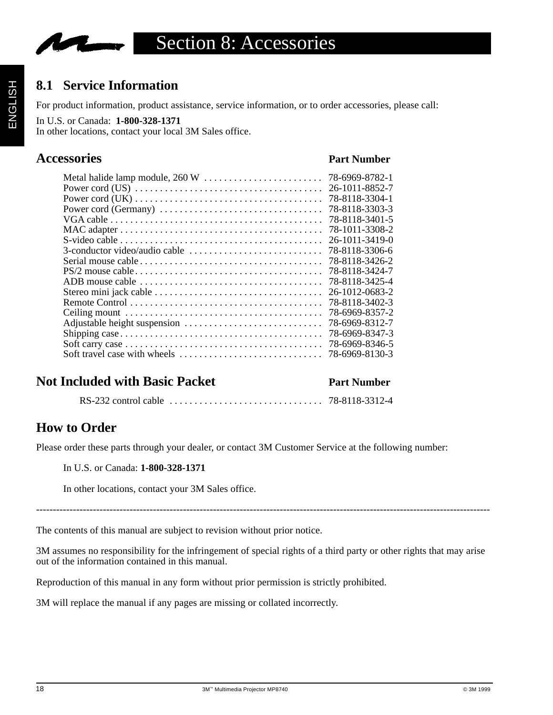

## **8.1 Service Information**

For product information, product assistance, service information, or to order accessories, please call:

#### In U.S. or Canada: **1-800-328-1371**

In other locations, contact your local 3M Sales office.

## **Accessories Part Number**

| 78-6969-8782-1 |
|----------------|
| 26-1011-8852-7 |
| 78-8118-3304-1 |
| 78-8118-3303-3 |
| 78-8118-3401-5 |
| 78-1011-3308-2 |
| 26-1011-3419-0 |
| 78-8118-3306-6 |
| 78-8118-3426-2 |
| 78-8118-3424-7 |
| 78-8118-3425-4 |
| 26-1012-0683-2 |
| 78-8118-3402-3 |
| 78-6969-8357-2 |
| 78-6969-8312-7 |
| 78-6969-8347-3 |
| 78-6969-8346-5 |
| 78-6969-8130-3 |
|                |

## **Not Included with Basic Packet Part Number**

RS-232 control cable . . . . . . . . . . . . . . . . . . . . . . . . . . . . . . . 78-8118-3312-4

## **How to Order**

Please order these parts through your dealer, or contact 3M Customer Service at the following number:

#### In U.S. or Canada: **1-800-328-1371**

In other locations, contact your 3M Sales office.

----------------------------------------------------------------------------------------------------------------------------------------

The contents of this manual are subject to revision without prior notice.

3M assumes no responsibility for the infringement of special rights of a third party or other rights that may arise out of the information contained in this manual.

Reproduction of this manual in any form without prior permission is strictly prohibited.

3M will replace the manual if any pages are missing or collated incorrectly.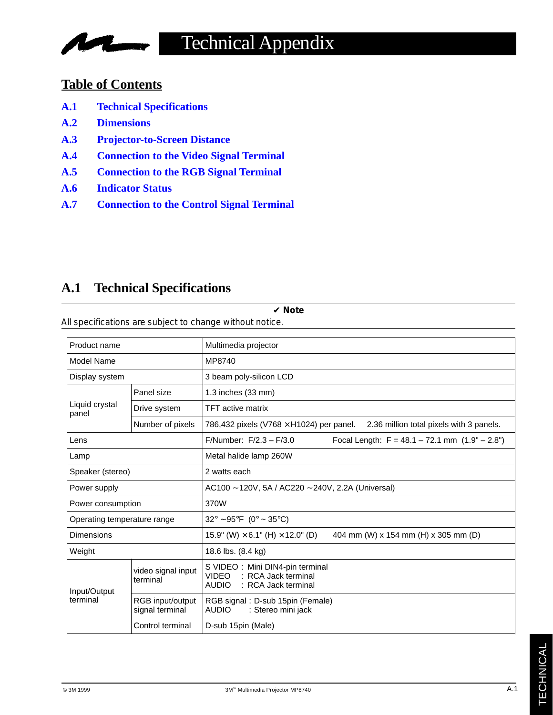## **Table of Contents**

**Marine** 

**A.1 Technical Specifications**

**IV** 

- **A.2 Dimensions**
- **A.3 Projector-to-Screen Distance**
- **A.4 Connection to the Video Signal Terminal**
- **A.5 Connection to the RGB Signal Terminal**
- **A.6 Indicator Status**
- **A.7 Connection to the Control Signal Terminal**

## **A.1 Technical Specifications**

| All specifications are subject to change without notice. |                                     |                                                                                                               |  |  |
|----------------------------------------------------------|-------------------------------------|---------------------------------------------------------------------------------------------------------------|--|--|
| Product name                                             |                                     | Multimedia projector                                                                                          |  |  |
| Model Name                                               |                                     | MP8740                                                                                                        |  |  |
| Display system                                           |                                     | 3 beam poly-silicon LCD                                                                                       |  |  |
|                                                          | Panel size                          | 1.3 inches (33 mm)                                                                                            |  |  |
| Liquid crystal<br>panel                                  | Drive system                        | <b>TFT</b> active matrix                                                                                      |  |  |
|                                                          | Number of pixels                    | 786,432 pixels (V768 $\times$ H1024) per panel.<br>2.36 million total pixels with 3 panels.                   |  |  |
| Lens                                                     |                                     | F/Number: $F/2.3 - F/3.0$<br>Focal Length: $F = 48.1 - 72.1$ mm $(1.9" - 2.8")$                               |  |  |
| Lamp                                                     |                                     | Metal halide lamp 260W                                                                                        |  |  |
| Speaker (stereo)                                         |                                     | 2 watts each                                                                                                  |  |  |
| Power supply                                             |                                     | AC100 ~ 120V, 5A / AC220 ~ 240V, 2.2A (Universal)                                                             |  |  |
| Power consumption                                        |                                     | 370W                                                                                                          |  |  |
| Operating temperature range                              |                                     | $32^{\circ} \sim 95^{\circ}F$ (0° ~ 35°C)                                                                     |  |  |
| Dimensions                                               |                                     | 404 mm (W) x 154 mm (H) x 305 mm (D)<br>15.9" (W) $\times$ 6.1" (H) $\times$ 12.0" (D)                        |  |  |
| Weight                                                   |                                     | 18.6 lbs. (8.4 kg)                                                                                            |  |  |
| Input/Output<br>terminal                                 | video signal input<br>terminal      | S VIDEO: Mini DIN4-pin terminal<br><b>VIDEO</b><br>: RCA Jack terminal<br><b>AUDIO</b><br>: RCA Jack terminal |  |  |
|                                                          | RGB input/output<br>signal terminal | RGB signal: D-sub 15pin (Female)<br><b>AUDIO</b><br>: Stereo mini jack                                        |  |  |
|                                                          | Control terminal                    | D-sub 15pin (Male)                                                                                            |  |  |

✔ **Note**

All specifications are subject to change without notice.

TECHNICAL

**TECHNICAL**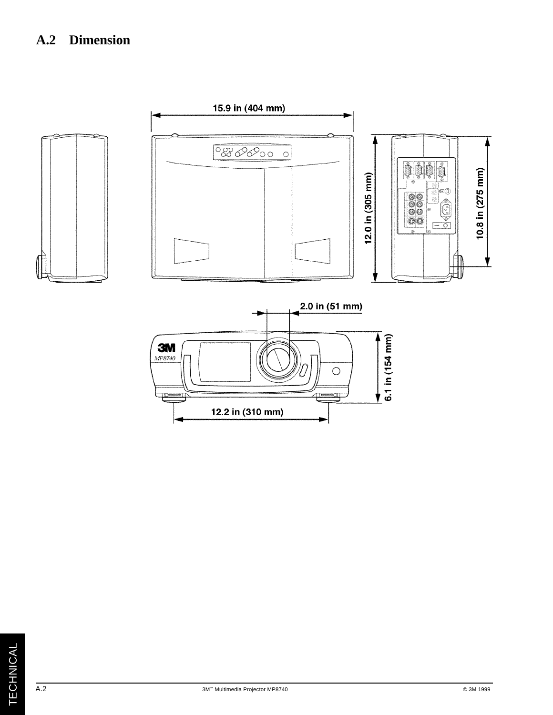## **A.2 Dimension**



A.2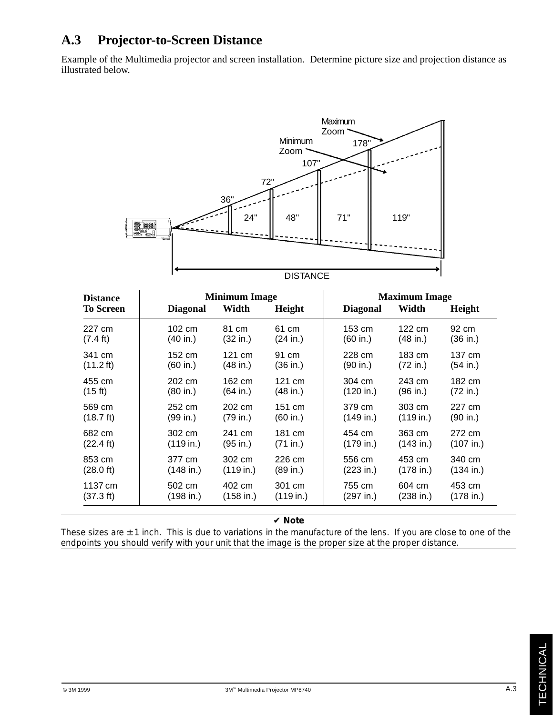## **A.3 Projector-to-Screen Distance**

Example of the Multimedia projector and screen installation. Determine picture size and projection distance as illustrated below.



| <b>Distance</b>     | <b>Minimum Image</b> |                  |                  | <b>Maximum Image</b> |           |           |
|---------------------|----------------------|------------------|------------------|----------------------|-----------|-----------|
| <b>To Screen</b>    | <b>Diagonal</b>      | Width            | Height           | <b>Diagonal</b>      | Width     | Height    |
| 227 cm              | 102 cm               | 81 cm            | 61 cm            | 153 cm               | 122 cm    | 92 cm     |
| $(7.4 \text{ ft})$  | (40 in.)             | (32 in.)         | (24 in.)         | (60 in.)             | (48 in.)  | (36 in.)  |
| 341 cm              | 152 cm               | $121 \text{ cm}$ | 91 cm            | 228 cm               | 183 cm    | 137 cm    |
| $(11.2 \text{ ft})$ | (60 in.)             | (48 in.)         | (36 in.)         | (90 in.)             | (72 in.)  | (54 in.)  |
| 455 cm              | 202 cm               | 162 cm           | $121 \text{ cm}$ | 304 cm               | 243 cm    | 182 cm    |
| (15 ft)             | (80 in.)             | (64 in.)         | (48 in.)         | (120 in.)            | (96 in.)  | (72 in.)  |
| 569 cm              | 252 cm               | 202 cm           | 151 cm           | 379 cm               | 303 cm    | 227 cm    |
| $(18.7 \text{ ft})$ | (99 in.)             | (79 in.)         | (60 in.)         | (149 in.)            | (119 in.) | (90 in.)  |
| 682 cm              | 302 cm               | 241 cm           | 181 cm           | 454 cm               | 363 cm    | 272 cm    |
| $(22.4 \text{ ft})$ | (119 in.)            | (95 in.)         | (71 in.)         | (179 in.)            | (143 in.) | (107 in.) |
| 853 cm              | 377 cm               | 302 cm           | 226 cm           | 556 cm               | 453 cm    | 340 cm    |
| $(28.0 \text{ ft})$ | (148 in.)            | (119 in.)        | (89 in.)         | (223 in.)            | (178 in.) | (134 in.) |
| 1137 cm             | 502 cm               | 402 cm           | 301 cm           | 755 cm               | 604 cm    | 453 cm    |
| (37.3 ft)           | (198 in.)            | (158 in.)        | (119 in.)        | (297 in.)            | (238 in.) | (178 in.) |

#### ✔ **Note**

These sizes are  $\pm$  1 inch. This is due to variations in the manufacture of the lens. If you are close to one of the endpoints you should verify with your unit that the image is the proper size at the proper distance.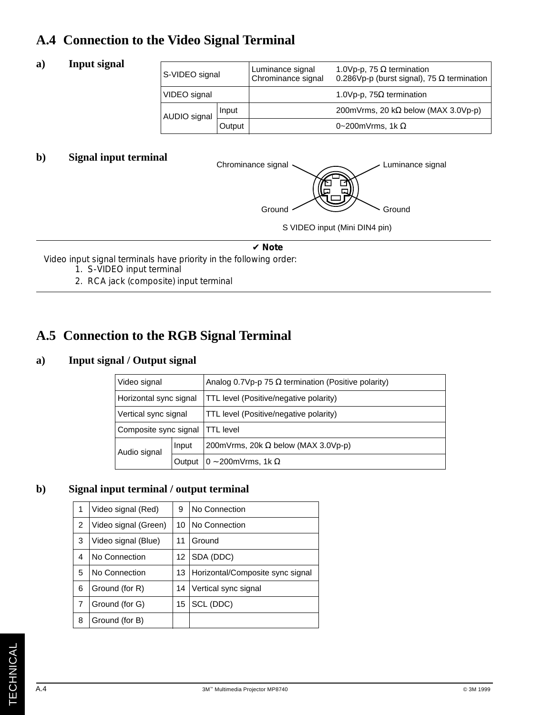## **A.4 Connection to the Video Signal Terminal**

#### **a) Input signal**

| S-VIDEO signal |        | Luminance signal<br>Chrominance signal | 1.0Vp-p, 75 $\Omega$ termination<br>0.286Vp-p (burst signal), 75 $\Omega$ termination |
|----------------|--------|----------------------------------------|---------------------------------------------------------------------------------------|
| VIDEO signal   |        |                                        | 1.0Vp-p, 75 $\Omega$ termination                                                      |
| AUDIO signal   | Input  |                                        | 200 mV rms, 20 k $\Omega$ below (MAX 3.0 V p-p)                                       |
|                | Output |                                        | 0~200mVrms, 1k $\Omega$                                                               |

## **b)** Signal input terminal Chrominance signal



#### ✔ **Note**

Video input signal terminals have priority in the following order:

- 1. S-VIDEO input terminal
- 2. RCA jack (composite) input terminal

## **A.5 Connection to the RGB Signal Terminal**

### **a) Input signal / Output signal**

| Video signal           |        | Analog 0.7Vp-p 75 $\Omega$ termination (Positive polarity) |  |  |
|------------------------|--------|------------------------------------------------------------|--|--|
| Horizontal sync signal |        | TTL level (Positive/negative polarity)                     |  |  |
| Vertical sync signal   |        | TTL level (Positive/negative polarity)                     |  |  |
| Composite sync signal  |        | <b>TTL</b> level                                           |  |  |
| Audio signal           | Input  | 200mVrms, 20k $\Omega$ below (MAX 3.0Vp-p)                 |  |  |
|                        | Output | $0 - 200$ mVrms, 1k $\Omega$                               |  |  |

## **b) Signal input terminal / output terminal**

| 1 | Video signal (Red)   |  | No Connection                    |
|---|----------------------|--|----------------------------------|
| 2 | Video signal (Green) |  | No Connection                    |
| 3 | Video signal (Blue)  |  | Ground                           |
| 4 | No Connection        |  | SDA (DDC)                        |
| 5 | No Connection        |  | Horizontal/Composite sync signal |
| 6 | Ground (for R)       |  | Vertical sync signal             |
| 7 | Ground (for G)       |  | SCL (DDC)                        |
| 8 | Ground (for B)       |  |                                  |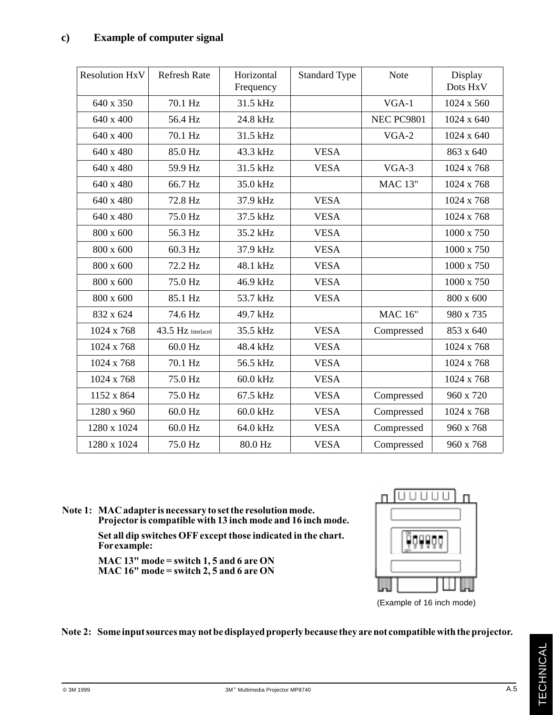| <b>Resolution HxV</b> | <b>Refresh Rate</b> | Horizontal<br>Frequency | <b>Standard Type</b> | <b>Note</b>       | Display<br>Dots HxV |
|-----------------------|---------------------|-------------------------|----------------------|-------------------|---------------------|
| 640 x 350             | 70.1 Hz             |                         |                      | $VGA-1$           | 1024 x 560          |
| 640 x 400             | 56.4 Hz             | 24.8 kHz                |                      | <b>NEC PC9801</b> | 1024 x 640          |
| 640 x 400             | 70.1 Hz             | 31.5 kHz                |                      | $VGA-2$           | 1024 x 640          |
| 640 x 480             | 85.0 Hz             | 43.3 kHz                | <b>VESA</b>          |                   | 863 x 640           |
| 640 x 480             | 59.9 Hz             | 31.5 kHz                | <b>VESA</b>          | VGA-3             | 1024 x 768          |
| 640 x 480             | 66.7 Hz             | 35.0 kHz                |                      | <b>MAC 13"</b>    | 1024 x 768          |
| 640 x 480             | 72.8 Hz             | 37.9 kHz                | <b>VESA</b>          |                   | 1024 x 768          |
| 640 x 480             | 75.0 Hz             | 37.5 kHz                | <b>VESA</b>          |                   | 1024 x 768          |
| 800 x 600             | 56.3 Hz             | 35.2 kHz                | <b>VESA</b>          |                   | 1000 x 750          |
| 800 x 600             | 60.3 Hz             | 37.9 kHz                | <b>VESA</b>          |                   | 1000 x 750          |
| 800 x 600             | 72.2 Hz             | 48.1 kHz                | <b>VESA</b>          |                   | 1000 x 750          |
| 800 x 600             | 75.0 Hz             | 46.9 kHz                | <b>VESA</b>          |                   | 1000 x 750          |
| 800 x 600             | 85.1 Hz             | 53.7 kHz                | <b>VESA</b>          |                   | 800 x 600           |
| 832 x 624             | 74.6 Hz             | 49.7 kHz                |                      | <b>MAC 16"</b>    | 980 x 735           |
| 1024 x 768            | 43.5 Hz Interlaced  | 35.5 kHz                | <b>VESA</b>          | Compressed        | 853 x 640           |
| 1024 x 768            | 60.0 Hz             | 48.4 kHz                | <b>VESA</b>          |                   | 1024 x 768          |
| 1024 x 768            | 70.1 Hz             | 56.5 kHz                | <b>VESA</b>          |                   | 1024 x 768          |
| 1024 x 768            | 75.0 Hz             | 60.0 kHz                | <b>VESA</b>          |                   | 1024 x 768          |
| 1152 x 864            | 75.0 Hz             | 67.5 kHz                | <b>VESA</b>          | Compressed        | 960 x 720           |
| 1280 x 960            | 60.0 Hz             | 60.0 kHz                | <b>VESA</b>          | Compressed        | 1024 x 768          |
| 1280 x 1024           | 60.0 Hz             | 64.0 kHz                | <b>VESA</b>          | Compressed        | 960 x 768           |
| 1280 x 1024           | 75.0 Hz             | 80.0 Hz                 | <b>VESA</b>          | Compressed        | 960 x 768           |

**Note 1: MAC adapter is necessary to set the resolution mode. Projector is compatible with 13 inch mode and 16 inch mode.**

> **Set all dip switches OFF except those indicated in the chart. For example:**

**MAC 13" mode = switch 1, 5 and 6 are ON MAC 16" mode = switch 2, 5 and 6 are ON**



#### **Note 2: Some input sources may not be displayed properly because they are not compatible with the projector.**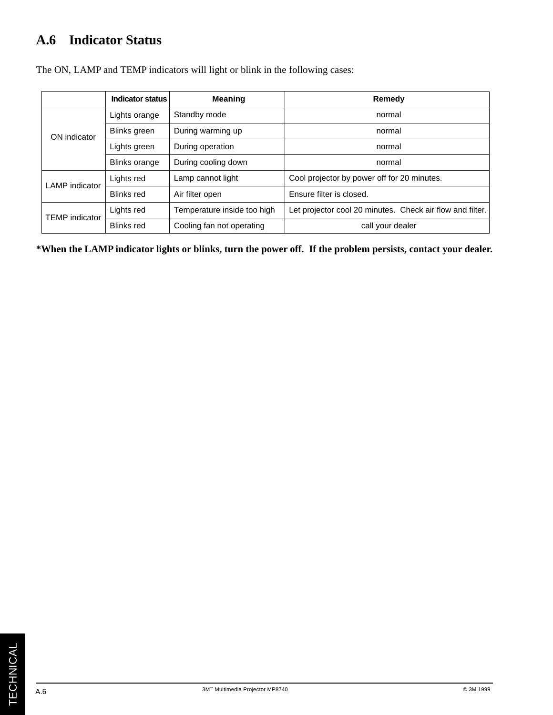## **A.6 Indicator Status**

|                       | <b>Indicator status</b> | <b>Meaning</b>              | Remedy                                                    |  |
|-----------------------|-------------------------|-----------------------------|-----------------------------------------------------------|--|
|                       | Lights orange           | Standby mode                | normal                                                    |  |
| ON indicator          | Blinks green            | During warming up           | normal                                                    |  |
|                       | Lights green            | During operation            | normal                                                    |  |
|                       | <b>Blinks orange</b>    | During cooling down         | normal                                                    |  |
| <b>LAMP</b> indicator | Lights red              | Lamp cannot light           | Cool projector by power off for 20 minutes.               |  |
|                       | <b>Blinks red</b>       | Air filter open             | Ensure filter is closed.                                  |  |
| <b>TEMP</b> indicator | Lights red              | Temperature inside too high | Let projector cool 20 minutes. Check air flow and filter. |  |
|                       | <b>Blinks</b> red       | Cooling fan not operating   | call your dealer                                          |  |

The ON, LAMP and TEMP indicators will light or blink in the following cases:

**\*When the LAMP indicator lights or blinks, turn the power off. If the problem persists, contact your dealer.**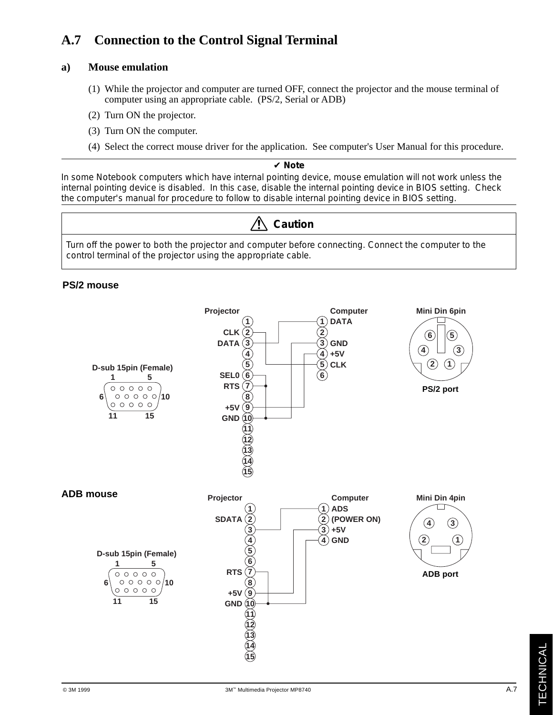## **A.7 Connection to the Control Signal Terminal**

#### **a) Mouse emulation**

- (1) While the projector and computer are turned OFF, connect the projector and the mouse terminal of computer using an appropriate cable. (PS/2, Serial or ADB)
- (2) Turn ON the projector.
- (3) Turn ON the computer.
- (4) Select the correct mouse driver for the application. See computer's User Manual for this procedure.

#### ✔ **Note**

In some Notebook computers which have internal pointing device, mouse emulation will not work unless the internal pointing device is disabled. In this case, disable the internal pointing device in BIOS setting. Check the computer's manual for procedure to follow to disable internal pointing device in BIOS setting.



Turn off the power to both the projector and computer before connecting. Connect the computer to the control terminal of the projector using the appropriate cable.

#### **PS/2 mouse**



A.7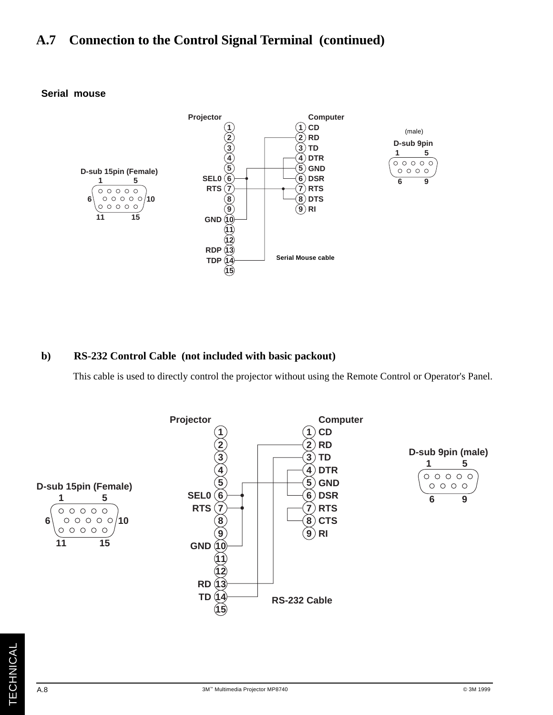## **A.7 Connection to the Control Signal Terminal (continued)**



#### **Serial mouse**

#### **b) RS-232 Control Cable (not included with basic packout)**

This cable is used to directly control the projector without using the Remote Control or Operator's Panel.

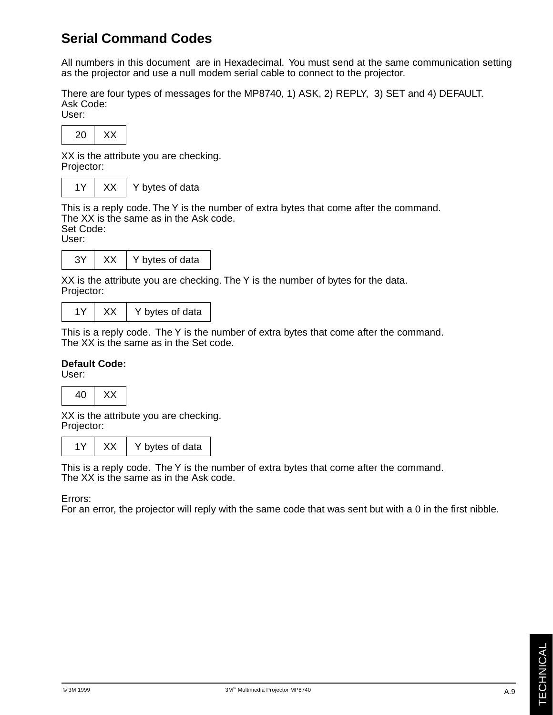## **Serial Command Codes**

All numbers in this document are in Hexadecimal. You must send at the same communication setting as the projector and use a null modem serial cable to connect to the projector.

There are four types of messages for the MP8740, 1) ASK, 2) REPLY, 3) SET and 4) DEFAULT. Ask Code:

User:



XX is the attribute you are checking. Projector:

 $1Y$   $\mid$  XX  $\mid$  Y bytes of data

This is a reply code. The Y is the number of extra bytes that come after the command. The XX is the same as in the Ask code.

Set Code:

User:

|  | bytes of data |
|--|---------------|
|  |               |

XX is the attribute you are checking. The Y is the number of bytes for the data. Projector:

|  | Y bytes of data |
|--|-----------------|
|--|-----------------|

This is a reply code. The Y is the number of extra bytes that come after the command. The XX is the same as in the Set code.

#### **Default Code:**

User:

40 XX

XX is the attribute you are checking. Projector:

 $1Y$  XX  $\mid$  Y bytes of data

This is a reply code. The Y is the number of extra bytes that come after the command. The XX is the same as in the Ask code.

Errors:

For an error, the projector will reply with the same code that was sent but with a 0 in the first nibble.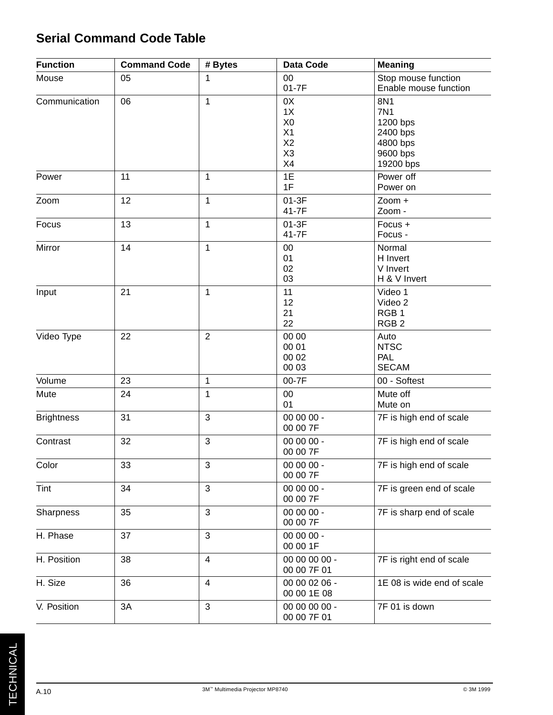## **Serial Command Code Table**

| <b>Function</b>   | <b>Command Code</b> | # Bytes                 | Data Code                                                      | <b>Meaning</b>                                                                 |
|-------------------|---------------------|-------------------------|----------------------------------------------------------------|--------------------------------------------------------------------------------|
| 05<br>Mouse       |                     | 1                       | 00<br>$01-7F$                                                  | Stop mouse function<br>Enable mouse function                                   |
| Communication     | 06                  | 1                       | 0X<br>1X<br>X <sub>0</sub><br>X1<br>X2<br>X <sub>3</sub><br>X4 | 8N1<br><b>7N1</b><br>1200 bps<br>2400 bps<br>4800 bps<br>9600 bps<br>19200 bps |
| Power             | 11                  | 1                       | 1E<br>1F                                                       | Power off<br>Power on                                                          |
| Zoom              | 12                  | 1                       | 01-3F<br>41-7F                                                 | Zoom +<br>Zoom -                                                               |
| Focus             | 13                  | 1                       | $01-3F$<br>41-7F                                               | Focus +<br>Focus -                                                             |
| Mirror            | 14                  | $\mathbf 1$             | 00<br>01<br>02<br>03                                           | Normal<br>H Invert<br>V Invert<br>H & V Invert                                 |
| Input             | 21                  | 1                       | 11<br>12<br>21<br>22                                           | Video 1<br>Video 2<br>RGB <sub>1</sub><br>RGB <sub>2</sub>                     |
| Video Type        | 22                  | $\overline{2}$          | 00 00<br>00 01<br>00 02<br>00 03                               | Auto<br><b>NTSC</b><br><b>PAL</b><br><b>SECAM</b>                              |
| Volume            | 23                  | $\mathbf 1$             | 00-7F                                                          | 00 - Softest                                                                   |
| Mute              | 24                  | 1                       | 00<br>01                                                       | Mute off<br>Mute on                                                            |
| <b>Brightness</b> | 31                  | 3                       | 00 00 00 -<br>00 00 7F                                         | 7F is high end of scale                                                        |
| Contrast          | 32                  | 3                       | 00 00 00 -<br>00 00 7F                                         | 7F is high end of scale                                                        |
| Color             | 33                  | 3                       | 00 00 00 -<br>00 00 7F                                         | 7F is high end of scale                                                        |
| Tint              | 34                  | $\mathfrak{S}$          | 00 00 00 -<br>00 00 7F                                         | 7F is green end of scale                                                       |
| Sharpness         | 35                  | 3                       | 00 00 00 -<br>00 00 7F                                         | 7F is sharp end of scale                                                       |
| H. Phase          | 37                  | 3                       | 00 00 00 -<br>00 00 1F                                         |                                                                                |
| H. Position       | 38                  | $\overline{\mathbf{4}}$ | 00 00 00 00 -<br>00 00 7F 01                                   | 7F is right end of scale                                                       |
| H. Size           | 36                  | $\overline{4}$          | 00 00 02 06 -<br>00 00 1E 08                                   | 1E 08 is wide end of scale                                                     |
| V. Position       | 3A                  | $\mathfrak{S}$          | 00 00 00 00 -<br>00 00 7F 01                                   | 7F 01 is down                                                                  |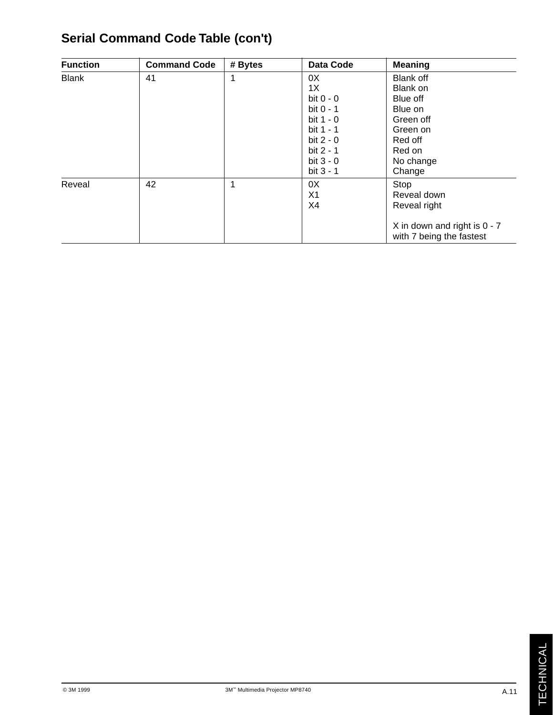| <b>Function</b> | <b>Command Code</b> | # Bytes | <b>Data Code</b> | <b>Meaning</b>                                           |
|-----------------|---------------------|---------|------------------|----------------------------------------------------------|
| <b>Blank</b>    | 41                  | 1       | 0X               | <b>Blank off</b>                                         |
|                 |                     |         | 1X               | Blank on                                                 |
|                 |                     |         | bit $0 - 0$      | Blue off                                                 |
|                 |                     |         | bit $0 - 1$      | Blue on                                                  |
|                 |                     |         | bit $1 - 0$      | Green off                                                |
|                 |                     |         | bit 1 - 1        | Green on                                                 |
|                 |                     |         | bit $2 - 0$      | Red off                                                  |
|                 |                     |         | bit 2 - 1        | Red on                                                   |
|                 |                     |         | bit $3 - 0$      | No change                                                |
|                 |                     |         | bit $3 - 1$      | Change                                                   |
| Reveal          | 42                  | 1       | 0X               | Stop                                                     |
|                 |                     |         | X <sub>1</sub>   | Reveal down                                              |
|                 |                     |         | X4               | Reveal right                                             |
|                 |                     |         |                  | X in down and right is 0 - 7<br>with 7 being the fastest |

## **Serial Command Code Table (con't)**

A.11